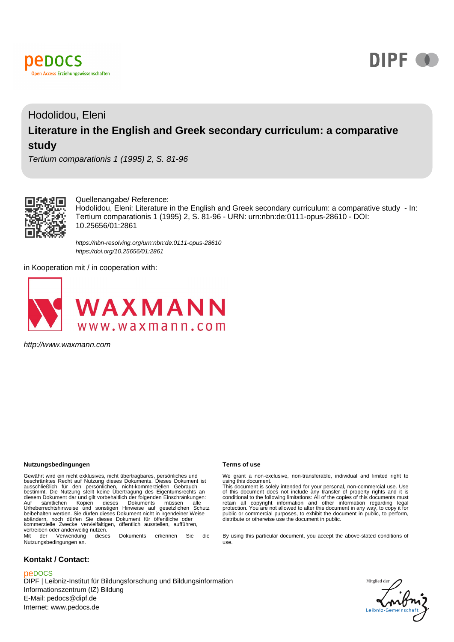



# Hodolidou, Eleni **Literature in the English and Greek secondary curriculum: a comparative study**

Tertium comparationis 1 (1995) 2, S. 81-96



Quellenangabe/ Reference:

Hodolidou, Eleni: Literature in the English and Greek secondary curriculum: a comparative study - In: Tertium comparationis 1 (1995) 2, S. 81-96 - URN: urn:nbn:de:0111-opus-28610 - DOI: 10.25656/01:2861

<https://nbn-resolving.org/urn:nbn:de:0111-opus-28610> <https://doi.org/10.25656/01:2861>

in Kooperation mit / in cooperation with:



http://www.waxmann.com

#### **Nutzungsbedingungen Terms of use**

Gewährt wird ein nicht exklusives, nicht übertragbares, persönliches und<br>beschränktes Recht auf Nutzung dieses Dokuments. Dieses Dokument ist<br>ausschließlich für den persönlichen, nicht-kommerziellen Gebrauch<br>bestimmt. Die Auf sämtlichen Kopien dieses Dokuments müssen alle Urheberrechtshinweise und sonstigen Hinweise auf gesetzlichen Schutz beibehalten werden. Sie dürfen dieses Dokument nicht in irgendeiner Weise abändern, noch dürfen Sie dieses Dokument für öffentliche oder kommerzielle Zwecke vervielfältigen, öffentlich ausstellen, aufführen, vertreiben oder anderweitig nutzen. Mit der Verwendung dieses Dokuments erkennen Sie die

Nutzungsbedingungen an.

#### **Kontakt / Contact:**

#### peDOCS

DIPF | Leibniz-Institut für Bildungsforschung und Bildungsinformation Informationszentrum (IZ) Bildung E-Mail: pedocs@dipf.de Internet: www.pedocs.de

We grant a non-exclusive, non-transferable, individual and limited right to<br>using this document.<br>This document is solely intended for your personal, non-commercial use. Use<br>of this document does not include any transfer of

By using this particular document, you accept the above-stated conditions of use.

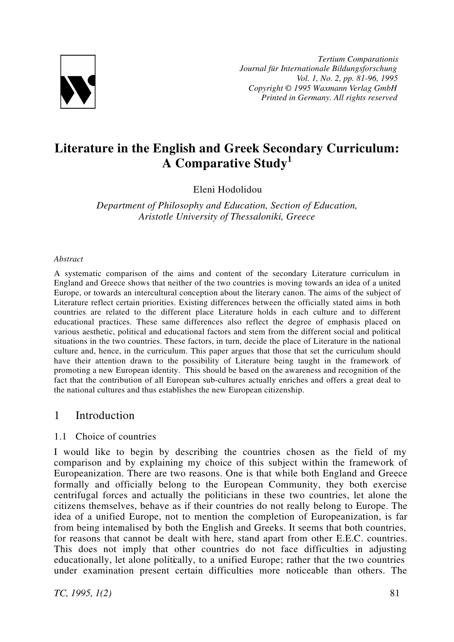

*Tertium Comparationis Journal für Internationale Bildungsforschung Vol. 1, No. 2, pp. 81-96, 1995 Copyright © 1995 Waxmann Verlag GmbH Printed in Germany. All rights reserved*

# **Literature in the English and Greek Secondary Curriculum: A Comparative Study<sup>1</sup>**

Eleni Hodolidou

*Department of Philosophy and Education, Section of Education, Aristotle University of Thessaloniki, Greece*

#### *Abstract*

A systematic comparison of the aims and content of the secondary Literature curriculum in England and Greece shows that neither of the two countries is moving towards an idea of a united Europe, or towards an intercultural conception about the literary canon. The aims of the subject of Literature reflect certain priorities. Existing differences between the officially stated aims in both countries are related to the different place Literature holds in each culture and to different educational practices. These same differences also reflect the degree of emphasis placed on various aesthetic, political and educational factors and stem from the different social and political situations in the two countries. These factors, in turn, decide the place of Literature in the national culture and, hence, in the curriculum. This paper argues that those that set the curriculum should have their attention drawn to the possibility of Literature being taught in the framework of promoting a new European identity. This should be based on the awareness and recognition of the fact that the contribution of all European sub-cultures actually enriches and offers a great deal to the national cultures and thus establishes the new European citizenship.

# 1 Introduction

#### 1.1 Choice of countries

I would like to begin by describing the countries chosen as the field of my comparison and by explaining my choice of this subject within the framework of Europeanization. There are two reasons. One is that while both England and Greece formally and officially belong to the European Community, they both exercise centrifugal forces and actually the politicians in these two countries, let alone the citizens themselves, behave as if their countries do not really belong to Europe. The idea of a unified Europe, not to mention the completion of Europeanization, is far from being internalised by both the English and Greeks. It seems that both countries, for reasons that cannot be dealt with here, stand apart from other E.E.C. countries. This does not imply that other countries do not face difficulties in adjusting educationally, let alone politically, to a unified Europe; rather that the two countries under examination present certain difficulties more noticeable than others. The

*TC, 1995, 1(2)* 81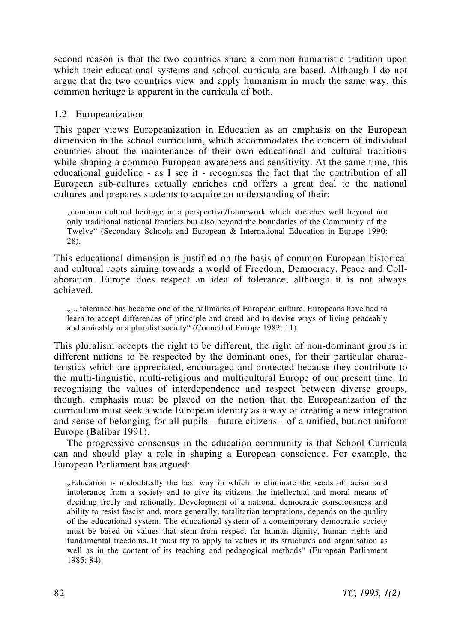second reason is that the two countries share a common humanistic tradition upon which their educational systems and school curricula are based. Although I do not argue that the two countries view and apply humanism in much the same way, this common heritage is apparent in the curricula of both.

### 1.2 Europeanization

This paper views Europeanization in Education as an emphasis on the European dimension in the school curriculum, which accommodates the concern of individual countries about the maintenance of their own educational and cultural traditions while shaping a common European awareness and sensitivity. At the same time, this educational guideline - as I see it - recognises the fact that the contribution of all European sub-cultures actually enriches and offers a great deal to the national cultures and prepares students to acquire an understanding of their:

"common cultural heritage in a perspective/framework which stretches well beyond not only traditional national frontiers but also beyond the boundaries of the Community of the Twelve" (Secondary Schools and European & International Education in Europe 1990: 28).

This educational dimension is justified on the basis of common European historical and cultural roots aiming towards a world of Freedom, Democracy, Peace and Collaboration. Europe does respect an idea of tolerance, although it is not always achieved.

".... tolerance has become one of the hallmarks of European culture. Europeans have had to learn to accept differences of principle and creed and to devise ways of living peaceably and amicably in a pluralist society" (Council of Europe 1982: 11).

This pluralism accepts the right to be different, the right of non-dominant groups in different nations to be respected by the dominant ones, for their particular characteristics which are appreciated, encouraged and protected because they contribute to the multi-linguistic, multi-religious and multicultural Europe of our present time. In recognising the values of interdependence and respect between diverse groups, though, emphasis must be placed on the notion that the Europeanization of the curriculum must seek a wide European identity as a way of creating a new integration and sense of belonging for all pupils - future citizens - of a unified, but not uniform Europe (Balibar 1991).

The progressive consensus in the education community is that School Curricula can and should play a role in shaping a European conscience. For example, the European Parliament has argued:

"Education is undoubtedly the best way in which to eliminate the seeds of racism and intolerance from a society and to give its citizens the intellectual and moral means of deciding freely and rationally. Development of a national democratic consciousness and ability to resist fascist and, more generally, totalitarian temptations, depends on the quality of the educational system. The educational system of a contemporary democratic society must be based on values that stem from respect for human dignity, human rights and fundamental freedoms. It must try to apply to values in its structures and organisation as well as in the content of its teaching and pedagogical methods" (European Parliament 1985: 84).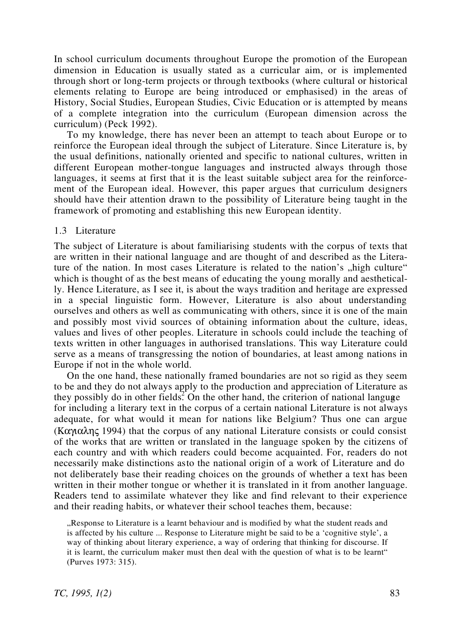In school curriculum documents throughout Europe the promotion of the European dimension in Education is usually stated as a curricular aim, or is implemented through short or long-term projects or through textbooks (where cultural or historical elements relating to Europe are being introduced or emphasised) in the areas of History, Social Studies, European Studies, Civic Education or is attempted by means of a complete integration into the curriculum (European dimension across the curriculum) (Peck 1992).

To my knowledge, there has never been an attempt to teach about Europe or to reinforce the European ideal through the subject of Literature. Since Literature is, by the usual definitions, nationally oriented and specific to national cultures, written in different European mother-tongue languages and instructed always through those languages, it seems at first that it is the least suitable subject area for the reinforcement of the European ideal. However, this paper argues that curriculum designers should have their attention drawn to the possibility of Literature being taught in the framework of promoting and establishing this new European identity.

#### 1.3 Literature

The subject of Literature is about familiarising students with the corpus of texts that are written in their national language and are thought of and described as the Literature of the nation. In most cases Literature is related to the nation's "high culture" which is thought of as the best means of educating the young morally and aesthetically. Hence Literature, as I see it, is about the ways tradition and heritage are expressed in a special linguistic form. However, Literature is also about understanding ourselves and others as well as communicating with others, since it is one of the main and possibly most vivid sources of obtaining information about the culture, ideas, values and lives of other peoples. Literature in schools could include the teaching of texts written in other languages in authorised translations. This way Literature could serve as a means of transgressing the notion of boundaries, at least among nations in Europe if not in the whole world.

On the one hand, these nationally framed boundaries are not so rigid as they seem to be and they do not always apply to the production and appreciation of Literature as they possibly do in other fields<sup>2</sup>. On the other hand, the criterion of national languge for including a literary text in the corpus of a certain national Literature is not always adequate, for what would it mean for nations like Belgium? Thus one can argue (Καγιαλης 1994) that the corpus of any national Literature consists or could consist of the works that are written or translated in the language spoken by the citizens of each country and with which readers could become acquainted. For, readers do not necessarily make distinctions as to the national origin of a work of Literature and do not deliberately base their reading choices on the grounds of whether a text has been written in their mother tongue or whether it is translated in it from another language. Readers tend to assimilate whatever they like and find relevant to their experience and their reading habits, or whatever their school teaches them, because:

Response to Literature is a learnt behaviour and is modified by what the student reads and is affected by his culture ... Response to Literature might be said to be a 'cognitive style', a way of thinking about literary experience, a way of ordering that thinking for discourse. If it is learnt, the curriculum maker must then deal with the question of what is to be learnt" (Purves 1973: 315).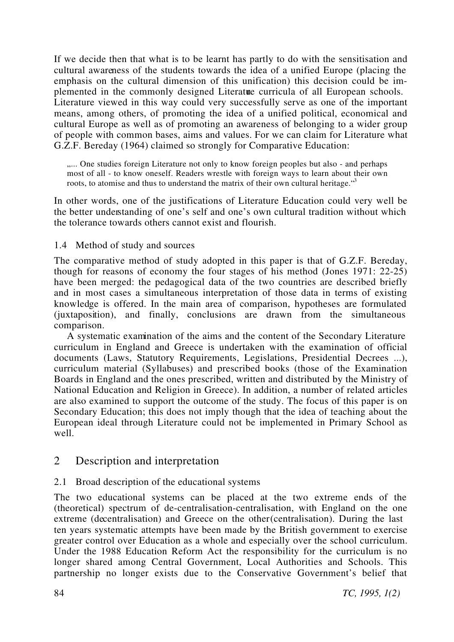If we decide then that what is to be learnt has partly to do with the sensitisation and cultural awareness of the students towards the idea of a unified Europe (placing the emphasis on the cultural dimension of this unification) this decision could be implemented in the commonly designed Literature curricula of all European schools. Literature viewed in this way could very successfully serve as one of the important means, among others, of promoting the idea of a unified political, economical and cultural Europe as well as of promoting an awareness of belonging to a wider group of people with common bases, aims and values. For we can claim for Literature what G.Z.F. Bereday (1964) claimed so strongly for Comparative Education:

..... One studies foreign Literature not only to know foreign peoples but also - and perhaps most of all - to know oneself. Readers wrestle with foreign ways to learn about their own roots, to atomise and thus to understand the matrix of their own cultural heritage.<sup>"3</sup>

In other words, one of the justifications of Literature Education could very well be the better understanding of one's self and one's own cultural tradition without which the tolerance towards others cannot exist and flourish.

### 1.4 Method of study and sources

The comparative method of study adopted in this paper is that of G.Z.F. Bereday, though for reasons of economy the four stages of his method (Jones 1971: 22-25) have been merged: the pedagogical data of the two countries are described briefly and in most cases a simultaneous interpretation of those data in terms of existing knowledge is offered. In the main area of comparison, hypotheses are formulated (juxtaposition), and finally, conclusions are drawn from the simultaneous comparison.

A systematic examination of the aims and the content of the Secondary Literature curriculum in England and Greece is undertaken with the examination of official documents (Laws, Statutory Requirements, Legislations, Presidential Decrees ...), curriculum material (Syllabuses) and prescribed books (those of the Examination Boards in England and the ones prescribed, written and distributed by the Ministry of National Education and Religion in Greece). In addition, a number of related articles are also examined to support the outcome of the study. The focus of this paper is on Secondary Education; this does not imply though that the idea of teaching about the European ideal through Literature could not be implemented in Primary School as well.

# 2 Description and interpretation

# 2.1 Broad description of the educational systems

The two educational systems can be placed at the two extreme ends of the (theoretical) spectrum of de-centralisation-centralisation, with England on the one extreme (decentralisation) and Greece on the other (centralisation). During the last ten years systematic attempts have been made by the British government to exercise greater control over Education as a whole and especially over the school curriculum. Under the 1988 Education Reform Act the responsibility for the curriculum is no longer shared among Central Government, Local Authorities and Schools. This partnership no longer exists due to the Conservative Government's belief that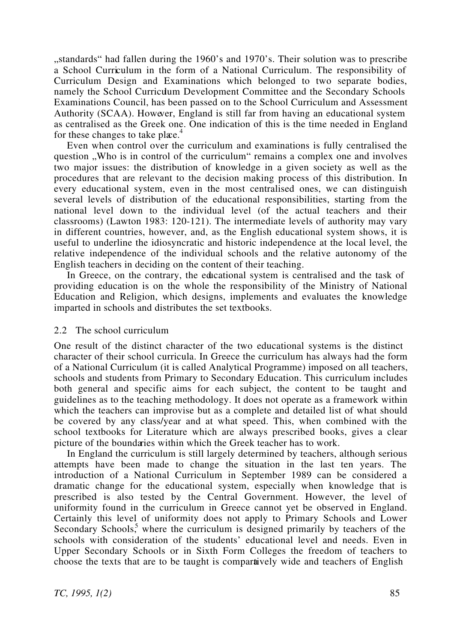"standards" had fallen during the 1960's and 1970's. Their solution was to prescribe a School Curriculum in the form of a National Curriculum. The responsibility of Curriculum Design and Examinations which belonged to two separate bodies, namely the School Curriculum Development Committee and the Secondary Schools Examinations Council, has been passed on to the School Curriculum and Assessment Authority (SCAA). However, England is still far from having an educational system as centralised as the Greek one. One indication of this is the time needed in England for these changes to take place. $4$ 

Even when control over the curriculum and examinations is fully centralised the question . Who is in control of the curriculum remains a complex one and involves two major issues: the distribution of knowledge in a given society as well as the procedures that are relevant to the decision making process of this distribution. In every educational system, even in the most centralised ones, we can distinguish several levels of distribution of the educational responsibilities, starting from the national level down to the individual level (of the actual teachers and their classrooms) (Lawton 1983: 120-121). The intermediate levels of authority may vary in different countries, however, and, as the English educational system shows, it is useful to underline the idiosyncratic and historic independence at the local level, the relative independence of the individual schools and the relative autonomy of the English teachers in deciding on the content of their teaching.

In Greece, on the contrary, the educational system is centralised and the task of providing education is on the whole the responsibility of the Ministry of National Education and Religion, which designs, implements and evaluates the knowledge imparted in schools and distributes the set textbooks.

#### 2.2 The school curriculum

One result of the distinct character of the two educational systems is the distinct character of their school curricula. In Greece the curriculum has always had the form of a National Curriculum (it is called Analytical Programme) imposed on all teachers, schools and students from Primary to Secondary Education. This curriculum includes both general and specific aims for each subject, the content to be taught and guidelines as to the teaching methodology. It does not operate as a framework within which the teachers can improvise but as a complete and detailed list of what should be covered by any class/year and at what speed. This, when combined with the school textbooks for Literature which are always prescribed books, gives a clear picture of the boundaries within which the Greek teacher has to work.

In England the curriculum is still largely determined by teachers, although serious attempts have been made to change the situation in the last ten years. The introduction of a National Curriculum in September 1989 can be considered a dramatic change for the educational system, especially when knowledge that is prescribed is also tested by the Central Government. However, the level of uniformity found in the curriculum in Greece cannot yet be observed in England. Certainly this level of uniformity does not apply to Primary Schools and Lower Secondary Schools,<sup>5</sup> where the curriculum is designed primarily by teachers of the schools with consideration of the students' educational level and needs. Even in Upper Secondary Schools or in Sixth Form Colleges the freedom of teachers to choose the texts that are to be taught is comparatively wide and teachers of English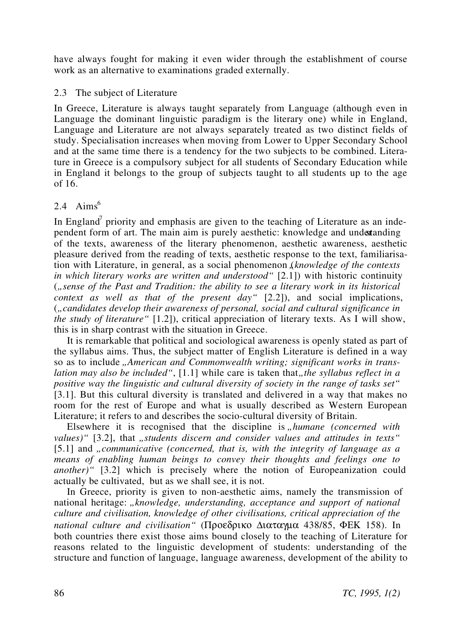have always fought for making it even wider through the establishment of course work as an alternative to examinations graded externally.

## 2.3 The subject of Literature

In Greece, Literature is always taught separately from Language (although even in Language the dominant linguistic paradigm is the literary one) while in England, Language and Literature are not always separately treated as two distinct fields of study. Specialisation increases when moving from Lower to Upper Secondary School and at the same time there is a tendency for the two subjects to be combined. Literature in Greece is a compulsory subject for all students of Secondary Education while in England it belongs to the group of subjects taught to all students up to the age of 16.

# 2.4 Aims<sup>6</sup>

In England<sup>7</sup> priority and emphasis are given to the teaching of Literature as an independent form of art. The main aim is purely aesthetic: knowledge and undertanding of the texts, awareness of the literary phenomenon, aesthetic awareness, aesthetic pleasure derived from the reading of texts, aesthetic response to the text, familiarisation with Literature, in general, as a social phenomenon *(knowledge of the contexts*) *in which literary works are written and understood"* [2.1]) with historic continuity (*"sense of the Past and Tradition: the ability to see a literary work in its historical context as well as that of the present day"* [2.2]), and social implications, (*"candidates develop their awareness of personal, social and cultural significance in the study of literature"* [1.2]), critical appreciation of literary texts. As I will show, this is in sharp contrast with the situation in Greece.

It is remarkable that political and sociological awareness is openly stated as part of the syllabus aims. Thus, the subject matter of English Literature is defined in a way so as to include *"American and Commonwealth writing; significant works in translation may also be included"*, [1.1] while care is taken that, *the syllabus reflect in a positive way the linguistic and cultural diversity of society in the range of tasks set"* [3.1]. But this cultural diversity is translated and delivered in a way that makes no room for the rest of Europe and what is usually described as Western European Literature; it refers to and describes the socio-cultural diversity of Britain.

Elsewhere it is recognised that the discipline is "*humane (concerned with*) values)" [3.2], that *"students discern and consider values and attitudes in texts*" [5.1] and *"communicative (concerned, that is, with the integrity of language as a means of enabling human beings to convey their thoughts and feelings one to another*)" [3.2] which is precisely where the notion of Europeanization could actually be cultivated, but as we shall see, it is not.

In Greece, priority is given to non-aesthetic aims, namely the transmission of national heritage: "*knowledge, understanding, acceptance and support of national culture and civilisation, knowledge of other civilisations, critical appreciation of the national culture and civilisation"* (Προεδρικο ∆ιαταγµα 438/85, ΦΕΚ 158). In both countries there exist those aims bound closely to the teaching of Literature for reasons related to the linguistic development of students: understanding of the structure and function of language, language awareness, development of the ability to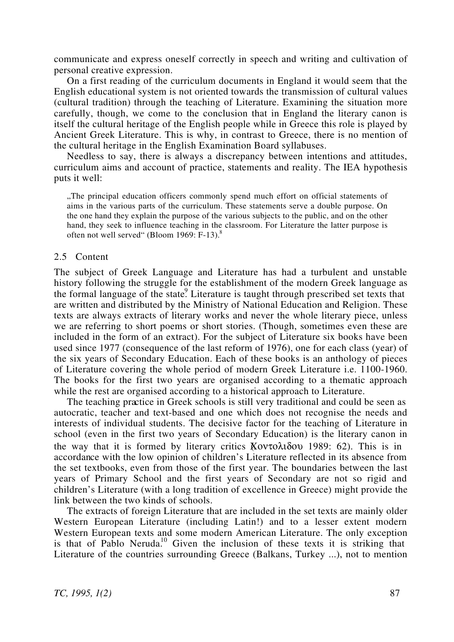communicate and express oneself correctly in speech and writing and cultivation of personal creative expression.

On a first reading of the curriculum documents in England it would seem that the English educational system is not oriented towards the transmission of cultural values (cultural tradition) through the teaching of Literature. Examining the situation more carefully, though, we come to the conclusion that in England the literary canon is itself the cultural heritage of the English people while in Greece this role is played by Ancient Greek Literature. This is why, in contrast to Greece, there is no mention of the cultural heritage in the English Examination Board syllabuses.

Needless to say, there is always a discrepancy between intentions and attitudes, curriculum aims and account of practice, statements and reality. The IEA hypothesis puts it well:

"The principal education officers commonly spend much effort on official statements of aims in the various parts of the curriculum. These statements serve a double purpose. On the one hand they explain the purpose of the various subjects to the public, and on the other hand, they seek to influence teaching in the classroom. For Literature the latter purpose is often not well served" (Bloom 1969:  $F-13$ ).

#### 2.5 Content

The subject of Greek Language and Literature has had a turbulent and unstable history following the struggle for the establishment of the modern Greek language as the formal language of the state. Literature is taught through prescribed set texts that are written and distributed by the Ministry of National Education and Religion. These texts are always extracts of literary works and never the whole literary piece, unless we are referring to short poems or short stories. (Though, sometimes even these are included in the form of an extract). For the subject of Literature six books have been used since 1977 (consequence of the last reform of 1976), one for each class (year) of the six years of Secondary Education. Each of these books is an anthology of pieces of Literature covering the whole period of modern Greek Literature i.e. 1100-1960. The books for the first two years are organised according to a thematic approach while the rest are organised according to a historical approach to Literature.

The teaching practice in Greek schools is still very traditional and could be seen as autocratic, teacher and text-based and one which does not recognise the needs and interests of individual students. The decisive factor for the teaching of Literature in school (even in the first two years of Secondary Education) is the literary canon in the way that it is formed by literary critics  $Kov \tau \partial \lambda \delta \partial \nu$  1989: 62). This is in accordance with the low opinion of children's Literature reflected in its absence from the set textbooks, even from those of the first year. The boundaries between the last years of Primary School and the first years of Secondary are not so rigid and children's Literature (with a long tradition of excellence in Greece) might provide the link between the two kinds of schools.

The extracts of foreign Literature that are included in the set texts are mainly older Western European Literature (including Latin!) and to a lesser extent modern Western European texts and some modern American Literature. The only exception is that of Pablo Neruda.<sup>10</sup> Given the inclusion of these texts it is striking that Literature of the countries surrounding Greece (Balkans, Turkey ...), not to mention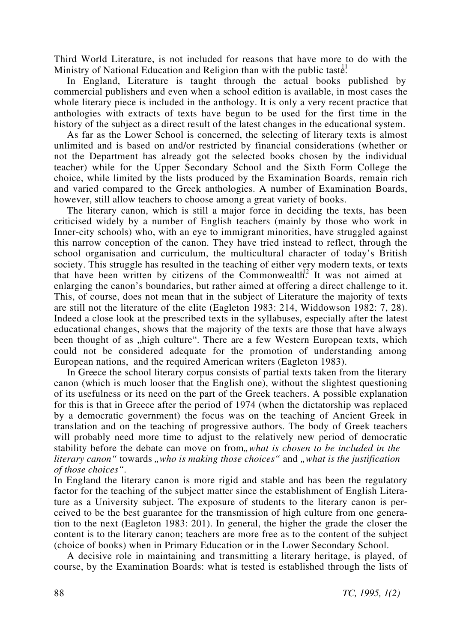Third World Literature, is not included for reasons that have more to do with the Ministry of National Education and Religion than with the public taste.<sup>1</sup>

In England, Literature is taught through the actual books published by commercial publishers and even when a school edition is available, in most cases the whole literary piece is included in the anthology. It is only a very recent practice that anthologies with extracts of texts have begun to be used for the first time in the history of the subject as a direct result of the latest changes in the educational system.

As far as the Lower School is concerned, the selecting of literary texts is almost unlimited and is based on and/or restricted by financial considerations (whether or not the Department has already got the selected books chosen by the individual teacher) while for the Upper Secondary School and the Sixth Form College the choice, while limited by the lists produced by the Examination Boards, remain rich and varied compared to the Greek anthologies. A number of Examination Boards, however, still allow teachers to choose among a great variety of books.

The literary canon, which is still a major force in deciding the texts, has been criticised widely by a number of English teachers (mainly by those who work in Inner-city schools) who, with an eye to immigrant minorities, have struggled against this narrow conception of the canon. They have tried instead to reflect, through the school organisation and curriculum, the multicultural character of today's British society. This struggle has resulted in the teaching of either very modern texts, or texts that have been written by citizens of the Commonwealth<sup>2</sup>. It was not aimed at enlarging the canon's boundaries, but rather aimed at offering a direct challenge to it. This, of course, does not mean that in the subject of Literature the majority of texts are still not the literature of the elite (Eagleton 1983: 214, Widdowson 1982: 7, 28). Indeed a close look at the prescribed texts in the syllabuses, especially after the latest educational changes, shows that the majority of the texts are those that have always been thought of as "high culture". There are a few Western European texts, which could not be considered adequate for the promotion of understanding among European nations, and the required American writers (Eagleton 1983).

In Greece the school literary corpus consists of partial texts taken from the literary canon (which is much looser that the English one), without the slightest questioning of its usefulness or its need on the part of the Greek teachers. A possible explanation for this is that in Greece after the period of 1974 (when the dictatorship was replaced by a democratic government) the focus was on the teaching of Ancient Greek in translation and on the teaching of progressive authors. The body of Greek teachers will probably need more time to adjust to the relatively new period of democratic stability before the debate can move on from, what is chosen to be included in the *literary canon* " towards *"who is making those choices* " and *"what is the justification of those choices"*.

In England the literary canon is more rigid and stable and has been the regulatory factor for the teaching of the subject matter since the establishment of English Literature as a University subject. The exposure of students to the literary canon is perceived to be the best guarantee for the transmission of high culture from one generation to the next (Eagleton 1983: 201). In general, the higher the grade the closer the content is to the literary canon; teachers are more free as to the content of the subject (choice of books) when in Primary Education or in the Lower Secondary School.

A decisive role in maintaining and transmitting a literary heritage, is played, of course, by the Examination Boards: what is tested is established through the lists of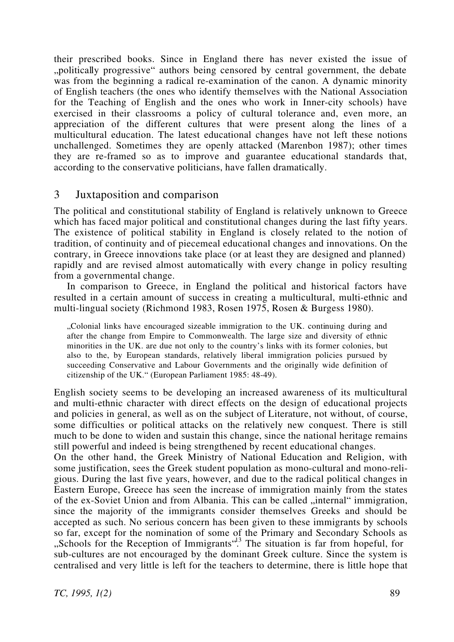their prescribed books. Since in England there has never existed the issue of "politically progressive" authors being censored by central government, the debate was from the beginning a radical re-examination of the canon. A dynamic minority of English teachers (the ones who identify themselves with the National Association for the Teaching of English and the ones who work in Inner-city schools) have exercised in their classrooms a policy of cultural tolerance and, even more, an appreciation of the different cultures that were present along the lines of a multicultural education. The latest educational changes have not left these notions unchallenged. Sometimes they are openly attacked (Marenbon 1987); other times they are re-framed so as to improve and guarantee educational standards that, according to the conservative politicians, have fallen dramatically.

# 3 Juxtaposition and comparison

The political and constitutional stability of England is relatively unknown to Greece which has faced major political and constitutional changes during the last fifty years. The existence of political stability in England is closely related to the notion of tradition, of continuity and of piecemeal educational changes and innovations. On the contrary, in Greece innovations take place (or at least they are designed and planned) rapidly and are revised almost automatically with every change in policy resulting from a governmental change.

In comparison to Greece, in England the political and historical factors have resulted in a certain amount of success in creating a multicultural, multi-ethnic and multi-lingual society (Richmond 1983, Rosen 1975, Rosen & Burgess 1980).

"Colonial links have encouraged sizeable immigration to the UK. continuing during and after the change from Empire to Commonwealth. The large size and diversity of ethnic minorities in the UK. are due not only to the country's links with its former colonies, but also to the, by European standards, relatively liberal immigration policies pursued by succeeding Conservative and Labour Governments and the originally wide definition of citizenship of the UK." (European Parliament 1985: 48-49).

English society seems to be developing an increased awareness of its multicultural and multi-ethnic character with direct effects on the design of educational projects and policies in general, as well as on the subject of Literature, not without, of course, some difficulties or political attacks on the relatively new conquest. There is still much to be done to widen and sustain this change, since the national heritage remains still powerful and indeed is being strengthened by recent educational changes.

On the other hand, the Greek Ministry of National Education and Religion, with some justification, sees the Greek student population as mono-cultural and mono-religious. During the last five years, however, and due to the radical political changes in Eastern Europe, Greece has seen the increase of immigration mainly from the states of the ex-Soviet Union and from Albania. This can be called "internal" immigration, since the majority of the immigrants consider themselves Greeks and should be accepted as such. No serious concern has been given to these immigrants by schools so far, except for the nomination of some of the Primary and Secondary Schools as "Schools for the Reception of Immigrants<sup>".</sup><sup>43</sup> The situation is far from hopeful, for sub-cultures are not encouraged by the dominant Greek culture. Since the system is centralised and very little is left for the teachers to determine, there is little hope that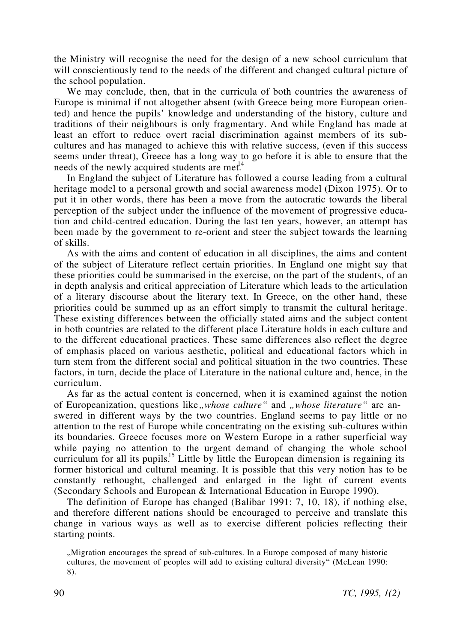the Ministry will recognise the need for the design of a new school curriculum that will conscientiously tend to the needs of the different and changed cultural picture of the school population.

We may conclude, then, that in the curricula of both countries the awareness of Europe is minimal if not altogether absent (with Greece being more European oriented) and hence the pupils' knowledge and understanding of the history, culture and traditions of their neighbours is only fragmentary. And while England has made at least an effort to reduce overt racial discrimination against members of its subcultures and has managed to achieve this with relative success, (even if this success seems under threat), Greece has a long way to go before it is able to ensure that the needs of the newly acquired students are met.<sup>14</sup>

In England the subject of Literature has followed a course leading from a cultural heritage model to a personal growth and social awareness model (Dixon 1975). Or to put it in other words, there has been a move from the autocratic towards the liberal perception of the subject under the influence of the movement of progressive education and child-centred education. During the last ten years, however, an attempt has been made by the government to re-orient and steer the subject towards the learning of skills.

As with the aims and content of education in all disciplines, the aims and content of the subject of Literature reflect certain priorities. In England one might say that these priorities could be summarised in the exercise, on the part of the students, of an in depth analysis and critical appreciation of Literature which leads to the articulation of a literary discourse about the literary text. In Greece, on the other hand, these priorities could be summed up as an effort simply to transmit the cultural heritage. These existing differences between the officially stated aims and the subject content in both countries are related to the different place Literature holds in each culture and to the different educational practices. These same differences also reflect the degree of emphasis placed on various aesthetic, political and educational factors which in turn stem from the different social and political situation in the two countries. These factors, in turn, decide the place of Literature in the national culture and, hence, in the curriculum.

As far as the actual content is concerned, when it is examined against the notion of Europeanization, questions like *whose culture* " and *whose literature* " are answered in different ways by the two countries. England seems to pay little or no attention to the rest of Europe while concentrating on the existing sub-cultures within its boundaries. Greece focuses more on Western Europe in a rather superficial way while paying no attention to the urgent demand of changing the whole school curriculum for all its pupils.<sup>15</sup> Little by little the European dimension is regaining its former historical and cultural meaning. It is possible that this very notion has to be constantly rethought, challenged and enlarged in the light of current events (Secondary Schools and European & International Education in Europe 1990).

The definition of Europe has changed (Balibar 1991: 7, 10, 18), if nothing else, and therefore different nations should be encouraged to perceive and translate this change in various ways as well as to exercise different policies reflecting their starting points.

"Migration encourages the spread of sub-cultures. In a Europe composed of many historic cultures, the movement of peoples will add to existing cultural diversity" (McLean 1990: 8).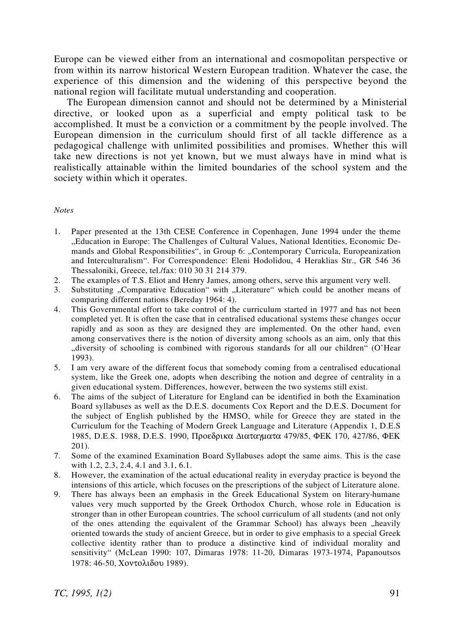Europe can be viewed either from an international and cosmopolitan perspective or from within its narrow historical Western European tradition. Whatever the case, the experience of this dimension and the widening of this perspective beyond the national region will facilitate mutual understanding and cooperation.

The European dimension cannot and should not be determined by a Ministerial directive, or looked upon as a superficial and empty political task to be accomplished. It must be a conviction or a commitment by the people involved. The European dimension in the curriculum should first of all tackle difference as a pedagogical challenge with unlimited possibilities and promises. Whether this will take new directions is not yet known, but we must always have in mind what is realistically attainable within the limited boundaries of the school system and the society within which it operates.

#### *Notes*

- 1. Paper presented at the 13th CESE Conference in Copenhagen, June 1994 under the theme "Education in Europe: The Challenges of Cultural Values, National Identities, Economic Demands and Global Responsibilities", in Group 6: "Contemporary Curricula, Europeanization and Interculturalism". For Correspondence: Eleni Hodolidou, 4 Heraklias Str., GR 546 36 Thessaloniki, Greece, tel./fax: 010 30 31 214 379.
- 2. The examples of T.S. Eliot and Henry James, among others, serve this argument very well.
- 3. Substituting "Comparative Education" with "Literature" which could be another means of comparing different nations (Bereday 1964: 4).
- 4. This Governmental effort to take control of the curriculum started in 1977 and has not been completed yet. It is often the case that in centralised educational systems these changes occur rapidly and as soon as they are designed they are implemented. On the other hand, even among conservatives there is the notion of diversity among schools as an aim, only that this "diversity of schooling is combined with rigorous standards for all our children" (O'Hear 1993).
- 5. I am very aware of the different focus that somebody coming from a centralised educational system, like the Greek one, adopts when describing the notion and degree of centrality in a given educational system. Differences, however, between the two systems still exist.
- 6. The aims of the subject of Literature for England can be identified in both the Examination Board syllabuses as well as the D.E.S. documents Cox Report and the D.E.S. Document for the subject of English published by the HMSO, while for Greece they are stated in the Curriculum for the Teaching of Modern Greek Language and Literature (Appendix 1, D.E.S 1985, D.E.S. 1988, D.E.S. 1990, Προεδρικα ∆ιαταγµατα 479/85, ΦΕΚ 170, 427/86, ΦΕΚ 201).
- 7. Some of the examined Examination Board Syllabuses adopt the same aims. This is the case with 1.2, 2.3, 2.4, 4.1 and 3.1, 6.1.
- 8. However, the examination of the actual educational reality in everyday practice is beyond the intensions of this article, which focuses on the prescriptions of the subject of Literature alone.
- 9. There has always been an emphasis in the Greek Educational System on literary-humane values very much supported by the Greek Orthodox Church, whose role in Education is stronger than in other European countries. The school curriculum of all students (and not only of the ones attending the equivalent of the Grammar School) has always been "heavily oriented towards the study of ancient Greece, but in order to give emphasis to a special Greek collective identity rather than to produce a distinctive kind of individual morality and sensitivity" (McLean 1990: 107, Dimaras 1978: 11-20, Dimaras 1973-1974, Papanoutsos 1978: 46-50, Χοντολιδου 1989).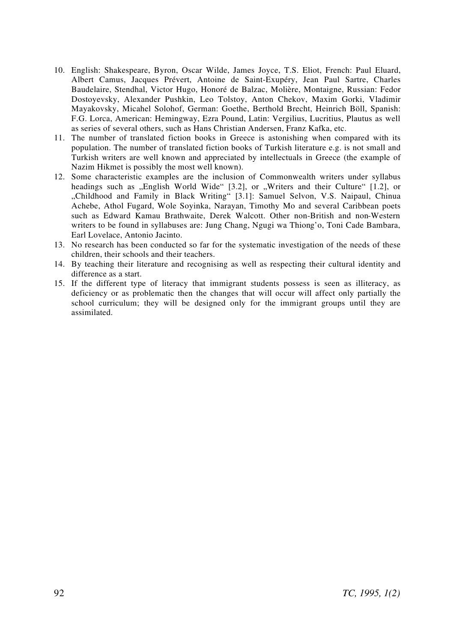- 10. English: Shakespeare, Byron, Oscar Wilde, James Joyce, T.S. Eliot, French: Paul Eluard, Albert Camus, Jacques Prévert, Antoine de Saint-Exupéry, Jean Paul Sartre, Charles Baudelaire, Stendhal, Victor Hugo, Honoré de Balzac, Molière, Montaigne, Russian: Fedor Dostoyevsky, Alexander Pushkin, Leo Tolstoy, Anton Chekov, Maxim Gorki, Vladimir Mayakovsky, Micahel Solohof, German: Goethe, Berthold Brecht, Heinrich Böll, Spanish: F.G. Lorca, American: Hemingway, Ezra Pound, Latin: Vergilius, Lucritius, Plautus as well as series of several others, such as Hans Christian Andersen, Franz Kafka, etc.
- 11. The number of translated fiction books in Greece is astonishing when compared with its population. The number of translated fiction books of Turkish literature e.g. is not small and Turkish writers are well known and appreciated by intellectuals in Greece (the example of Nazim Hikmet is possibly the most well known).
- 12. Some characteristic examples are the inclusion of Commonwealth writers under syllabus headings such as  $n$ English World Wide" [3.2], or  $n$ , Writers and their Culture" [1.2], or "Childhood and Family in Black Writing" [3.1]: Samuel Selvon, V.S. Naipaul, Chinua Achebe, Athol Fugard, Wole Soyinka, Narayan, Timothy Mo and several Caribbean poets such as Edward Kamau Brathwaite, Derek Walcott. Other non-British and non-Western writers to be found in syllabuses are: Jung Chang, Ngugi wa Thiong'o, Toni Cade Bambara, Earl Lovelace, Antonio Jacinto.
- 13. No research has been conducted so far for the systematic investigation of the needs of these children, their schools and their teachers.
- 14. By teaching their literature and recognising as well as respecting their cultural identity and difference as a start.
- 15. If the different type of literacy that immigrant students possess is seen as illiteracy, as deficiency or as problematic then the changes that will occur will affect only partially the school curriculum; they will be designed only for the immigrant groups until they are assimilated.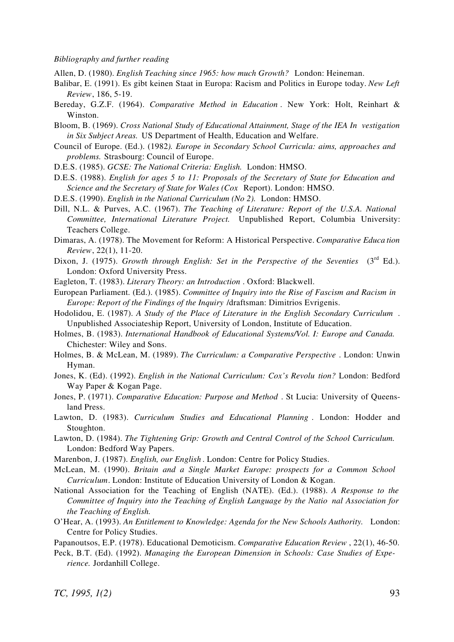#### *Bibliography and further reading*

Allen, D. (1980). *English Teaching since 1965: how much Growth?* London: Heineman.

- Balibar, E. (1991). Es gibt keinen Staat in Europa: Racism and Politics in Europe today. *New Left Review*, 186, 5-19.
- Bereday, G.Z.F. (1964). *Comparative Method in Education* . New York: Holt, Reinhart & Winston.
- Bloom, B. (1969). *Cross National Study of Educational Attainment, Stage of the IEA In vestigation in Six Subject Areas.* US Department of Health, Education and Welfare.
- Council of Europe. (Ed.). (1982*). Europe in Secondary School Curricula: aims, approaches and problems.* Strasbourg: Council of Europe.
- D.E.S. (1985). *GCSE: The National Criteria: English.* London: HMSO.
- D.E.S. (1988). *English for ages 5 to 11: Proposals of the Secretary of State for Education and Science and the Secretary of State for Wales (Cox* Report). London: HMSO.
- D.E.S. (1990). *English in the National Curriculum (No 2).* London: HMSO.
- Dill, N.L. & Purves, A.C. (1967). *The Teaching of Literature: Report of the U.S.A. National Committee, International Literature Project.* Unpublished Report, Columbia University: Teachers College.
- Dimaras, A. (1978). The Movement for Reform: A Historical Perspective. *Comparative Educa tion Review*, 22(1), 11-20.
- Dixon, J. (1975). *Growth through English: Set in the Perspective of the Seventies* (3<sup>rd</sup> Ed.). London: Oxford University Press.
- Eagleton, T. (1983). *Literary Theory: an Introduction* . Oxford: Blackwell.
- European Parliament. (Ed.). (1985). *Committee of Inquiry into the Rise of Fascism and Racism in Europe: Report of the Findings of the Inquiry* /draftsman: Dimitrios Evrigenis.
- Hodolidou, E. (1987). *A Study of the Place of Literature in the English Secondary Curriculum* . Unpublished Associateship Report, University of London, Institute of Education.
- Holmes, B. (1983). *International Handbook of Educational Systems/Vol. I: Europe and Canada.* Chichester: Wiley and Sons.
- Holmes, B. & McLean, M. (1989). *The Curriculum: a Comparative Perspective* . London: Unwin Hyman.
- Jones, K. (Ed). (1992). *English in the National Curriculum: Cox's Revolu tion?* London: Bedford Way Paper & Kogan Page.
- Jones, P. (1971). *Comparative Education: Purpose and Method* . St Lucia: University of Queensland Press.
- Lawton, D. (1983). *Curriculum Studies and Educational Planning* . London: Hodder and Stoughton.
- Lawton, D. (1984). *The Tightening Grip: Growth and Central Control of the School Curriculum.* London: Bedford Way Papers.
- Marenbon, J. (1987). *English, our English* . London: Centre for Policy Studies.
- McLean, M. (1990). *Britain and a Single Market Europe: prospects for a Common School Curriculum*. London: Institute of Education University of London & Kogan.
- National Association for the Teaching of English (NATE). (Ed.). (1988). *A Response to the Committee of Inquiry into the Teaching of English Language by the Natio nal Association for the Teaching of English.*
- O'Hear, A. (1993). *An Entitlement to Knowledge: Agenda for the New Schools Authority.* London: Centre for Policy Studies.
- Papanoutsos, E.P. (1978). Educational Demoticism. *Comparative Education Review* , 22(1), 46-50.
- Peck, B.T. (Ed). (1992). *Managing the European Dimension in Schools: Case Studies of Experience.* Jordanhill College.

*TC, 1995, 1(2)* 93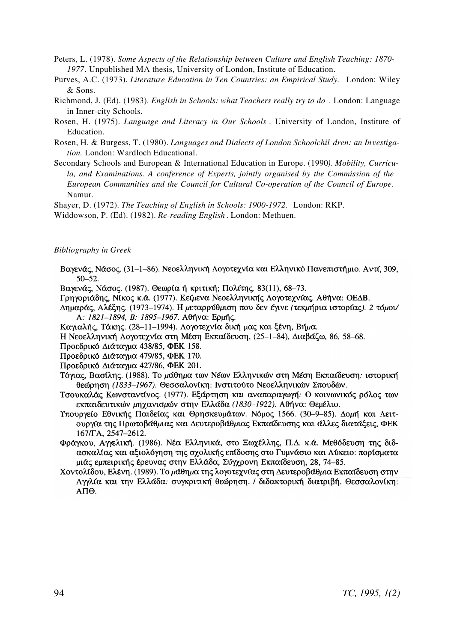- Peters, L. (1978). *Some Aspects of the Relationship between Culture and English Teaching: 1870- 1977*. Unpublished MA thesis, University of London, Institute of Education.
- Purves, A.C. (1973). *Literature Education in Ten Countries: an Empirical Study.* London: Wiley & Sons.
- Richmond, J. (Ed). (1983). *English in Schools: what Teachers really try to do* . London: Language in Inner-city Schools.
- Rosen, H. (1975). *Language and Literacy in Our Schools* . University of London, Institute of Education.
- Rosen, H. & Burgess, T. (1980). *Languages and Dialects of London Schoolchil dren: an Investigation.* London: Wardloch Educational.
- Secondary Schools and European & International Education in Europe. (1990*). Mobility, Curricula, and Examinations. A conference of Experts, jointly organised by the Commission of the European Communities and the Council for Cultural Co-operation of the Council of Europe.* Namur.

Shayer, D. (1972). *The Teaching of English in Schools: 1900-1972.* London: RKP.

Widdowson, P. (Ed). (1982). *Re-reading English* . London: Methuen.

#### *Bibliography in Greek*

- Βαγενάς, Νάσος. (31-1-86). Νεοελληνική Λογοτεχνία και Ελληνικό Πανεπιστήμιο. Αντί, 309,  $50 - 52$ .
- Βαγενάς, Νάσος, (1987), Θεωρία ή κριτική; Πολίτης, 83(11), 68-73.
- Γρηγοριάδης, Νίκος κ.ά. (1977). Κείμενα Νεοελληνικής Λογοτεχνίας. Αθήνα: ΟΕΔΒ.
- Δημαράς, Αλέξης. (1973-1974). Η μεταρρύθμιση που δεν έγινε (τεκμήρια ιστορίας). 2 τόμου Α: 1821-1894, Β: 1895-1967. Αθήνα: Ερμής.
- Καγιαλής, Τάκης. (28-11-1994). Λογοτεχνία δική μας και ξένη, Βήμα.
- Η Νεοελληνική Λογοτεχνία στη Μέση Εκπαίδευση, (25-1-84), Διαβάζω, 86, 58-68.
- Προεδρικό Διάταγμα 438/85, ΦΕΚ 158.
- Προεδρικό Διάταγμα 479/85, ΦΕΚ 170.
- Προεδρικό Διάταγμα 427/86, ΦΕΚ 201.
- Τόγιας, Βασίλης, (1988). Το μάθημα των Νέων Ελληνικών στη Μέση Εκπαίδευση: ιστορική θεώρηση (1833-1967). Θεσσαλονίκη: Ινστιτούτο Νεοελληνικών Σπουδών.
- Τσουκαλάς Κωνσταντίνος. (1977). Εξάρτηση και αναπαραγωγή: Ο κοινωνικός ρόλος των εκπαιδευτικών μηχανισμών στην Ελλάδα (1830-1922). Αθήνα: Θεμέλιο.
- Υπουργείο Εθνικής Παιδείας και Θρησκευμάτων. Νόμος 1566. (30-9-85). Δομή και Λειτουργία της Πρωτοβάθμιας και Δευτεροβάθμιας Εκπαίδευσης και άλλες διατάξεις, ΦΕΚ 167/TA, 2547-2612.
- Φράγκου, Αγγελική. (1986). Νέα Ελληνικά, στο Ξωχέλλης, Π.Δ. κ.ά. Μεθόδευση της διδασκαλίας και αξιολόγηση της σχολικής επίδοσης στο Γυμνάσιο και Λύκειο: πορίσματα μιάς εμπειρικής έρευνας στην Ελλάδα, Σύγχρονη Εκπαίδευση, 28, 74–85.
- Χοντολίδου, Ελένη. (1989). Το μάθημα της λογοτεχνίας στη Δευτεροβάθμια Εκπαίδευση στην Αγγλία και την Ελλάδα: συγκριτική θεώρηση. / διδακτορική διατριβή. Θεσσαλονίκη: ΑΠΘ.